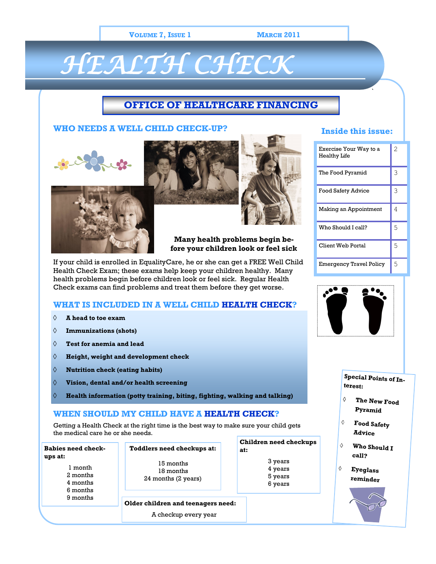### **VOLUME 7, ISSUE 1 MARCH 2011**

# *HEALTH CHECK*

## **OFFICE OF HEALTHCARE FINANCING**

## **WHO NEEDS A WELL CHILD CHECK-UP?**







## **Many health problems begin before your children look or feel sick**

If your child is enrolled in EqualityCare, he or she can get a FREE Well Child Health Check Exam; these exams help keep your children healthy. Many health problems begin before children look or feel sick. Regular Health Check exams can find problems and treat them before they get worse.

## **WHAT IS INCLUDED IN A WELL CHILD HEALTH CHECK?**

- $\Diamond$ **A head to toe exam**
- **Immunizations (shots)**  $\Diamond$
- $\Diamond$ **Test for anemia and lead**
- **Height, weight and development check**
- **Nutrition check (eating habits)**  $\Diamond$
- $\Diamond$ **Vision, dental and/or health screening**
- $\Diamond$ **Health information (potty training, biting, fighting, walking and talking)**

## **WHEN SHOULD MY CHILD HAVE A HEALTH CHECK?**

Getting a Health Check at the right time is the best way to make sure your child gets the medical care he or she needs.

| Toddlers need checkups at:                    | Children need checkups<br>at:            |                                    |
|-----------------------------------------------|------------------------------------------|------------------------------------|
| 15 months<br>18 months<br>24 months (2 years) | 3 years<br>4 years<br>5 years<br>6 years |                                    |
|                                               |                                          |                                    |
|                                               | A checkup every year                     | Older children and teenagers need: |

## **Inside this issue:**

`

| Exercise Your Way to a<br><b>Healthy Life</b> | $\overline{2}$ |
|-----------------------------------------------|----------------|
| The Food Pyramid                              | 3              |
| Food Safety Advice                            | 3              |
| Making an Appointment                         | 4              |
| Who Should I call?                            | 5              |
| Client Web Portal                             | 5              |
| <b>Emergency Travel Policy</b>                | 5              |



**Special Points of Interest:**

- ♦ **The New Food Pyramid**
- $\Diamond$ **Food Safety Advice**
- $\Diamond$ **Who Should I call?**
	- **Eyeglass reminder**

♦

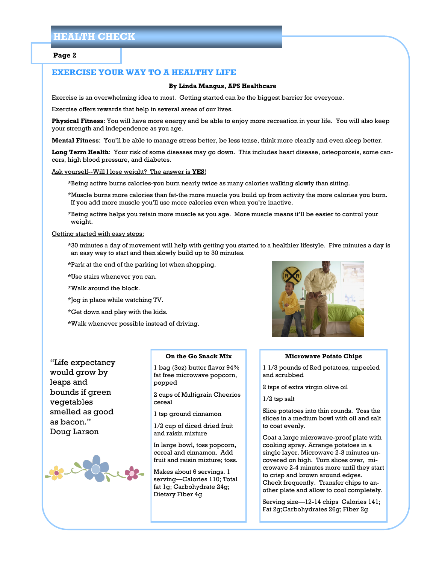#### **Page 2**

## **EXERCISE YOUR WAY TO A HEALTHY LIFE**

#### **By Linda Mangus, APS Healthcare**

Exercise is an overwhelming idea to most. Getting started can be the biggest barrier for everyone.

Exercise offers rewards that help in several areas of our lives.

**Physical Fitness**: You will have more energy and be able to enjoy more recreation in your life. You will also keep your strength and independence as you age.

**Mental Fitness**: You'll be able to manage stress better, be less tense, think more clearly and even sleep better.

**Long Term Health**: Your risk of some diseases may go down. This includes heart disease, osteoporosis, some cancers, high blood pressure, and diabetes.

#### Ask yourself--Will I lose weight? The answer is **YES**!

\*Being active burns calories-you burn nearly twice as many calories walking slowly than sitting.

\*Muscle burns more calories than fat-the more muscle you build up from activity the more calories you burn. If you add more muscle you'll use more calories even when you're inactive.

\*Being active helps you retain more muscle as you age. More muscle means it'll be easier to control your weight.

#### Getting started with easy steps:

\*30 minutes a day of movement will help with getting you started to a healthier lifestyle. Five minutes a day is an easy way to start and then slowly build up to 30 minutes.

\*Park at the end of the parking lot when shopping.

\*Use stairs whenever you can.

\*Walk around the block.

\*Jog in place while watching TV.

\*Get down and play with the kids.

\*Walk whenever possible instead of driving.



"Life expectancy would grow by leaps and bounds if green vegetables smelled as good as bacon." Doug Larson



#### **On the Go Snack Mix**

1 bag (3oz) butter flavor 94% fat free microwave popcorn, popped

2 cups of Multigrain Cheerios cereal

1 tsp ground cinnamon

1/2 cup of diced dried fruit and raisin mixture

In large bowl, toss popcorn, cereal and cinnamon. Add fruit and raisin mixture; toss.

Makes about 6 servings. 1 serving—Calories 110; Total fat 1g; Carbohydrate 24g; Dietary Fiber 4g

#### **Microwave Potato Chips**

1 1/3 pounds of Red potatoes, unpeeled and scrubbed

2 tsps of extra virgin olive oil

1/2 tsp salt

Slice potatoes into thin rounds. Toss the slices in a medium bowl with oil and salt to coat evenly.

Coat a large microwave-proof plate with cooking spray. Arrange potatoes in a single layer. Microwave 2-3 minutes uncovered on high. Turn slices over, microwave 2-4 minutes more until they start to crisp and brown around edges. Check frequently. Transfer chips to another plate and allow to cool completely.

Serving size—12-14 chips Calories 141; Fat 2g;Carbohydrates 26g; Fiber 2g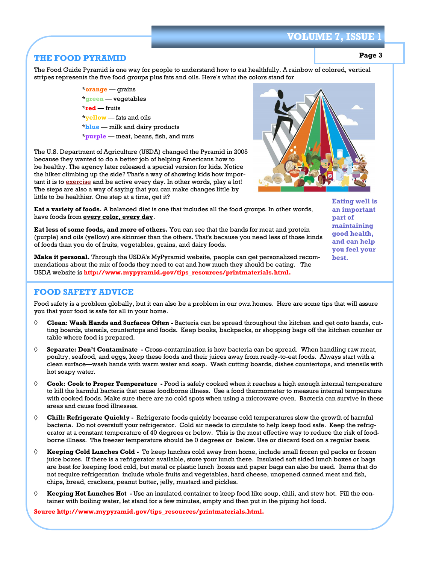## **VOLUME 7, ISSU**

## **THE FOOD PYRAMID**

**Page 3**

The Food Guide Pyramid is one way for people to understand how to eat healthfully. A rainbow of colored, vertical stripes represents the five food groups plus fats and oils. Here's what the colors stand for

> \***orange** — grains \***green** — vegetables \***red** — fruits \***yellow** — fats and oils \***blue** — milk and dairy products \***purple** — meat, beans, fish, and nuts

The U.S. Department of Agriculture (USDA) changed the Pyramid in 2005 because they wanted to do a better job of helping Americans how to be healthy. The agency later released a special version for kids. Notice the hiker climbing up the side? That's a way of showing kids how important it is to [exercise](http://kidshealth.org/kid/stay_healthy/fit/work_it_out.html) and be active every day. In other words, play a lot! The steps are also a way of saying that you can make changes little by little to be healthier. One step at a time, get it?

**Eat a variety of foods.** A balanced diet is one that includes all the food groups. In other words, have foods from **every color, every day**.

**Eat less of some foods, and more of others.** You can see that the bands for meat and protein (purple) and oils (yellow) are skinnier than the others. That's because you need less of those kinds of foods than you do of fruits, vegetables, grains, and dairy foods.

**Make it personal.** Through the USDA's MyPyramid website, people can get personalized recommendations about the mix of foods they need to eat and how much they should be eating. The USDA website is **http://www.mypyramid.gov/tips\_resources/printmaterials.html.**

## **FOOD SAFETY ADVICE**

Food safety is a problem globally, but it can also be a problem in our own homes. Here are some tips that will assure you that your food is safe for all in your home.

- $\Diamond$ **Clean: Wash Hands and Surfaces Often -** Bacteria can be spread throughout the kitchen and get onto hands, cutting boards, utensils, countertops and foods. Keep books, backpacks, or shopping bags off the kitchen counter or table where food is prepared.
- ♦ **Separate: Don't Contaminate -** Cross-contamination is how bacteria can be spread. When handling raw meat, poultry, seafood, and eggs, keep these foods and their juices away from ready-to-eat foods. Always start with a clean surface—wash hands with warm water and soap. Wash cutting boards, dishes countertops, and utensils with hot soapy water.
- $\Diamond$ **Cook: Cook to Proper Temperature -** Food is safely cooked when it reaches a high enough internal temperature to kill the harmful bacteria that cause foodborne illness. Use a food thermometer to measure internal temperature with cooked foods. Make sure there are no cold spots when using a microwave oven. Bacteria can survive in these areas and cause food illnesses.
- $\Diamond$ **Chill: Refrigerate Quickly -** Refrigerate foods quickly because cold temperatures slow the growth of harmful bacteria. Do not overstuff your refrigerator. Cold air needs to circulate to help keep food safe. Keep the refrigerator at a constant temperature of 40 degrees or below. This is the most effective way to reduce the risk of foodborne illness. The freezer temperature should be 0 degrees or below. Use or discard food on a regular basis.
- $\Diamond$ **Keeping Cold Lunches Cold -** To keep lunches cold away from home, include small frozen gel packs or frozen juice boxes. If there is a refrigerator available, store your lunch there. Insulated soft sided lunch boxes or bags are best for keeping food cold, but metal or plastic lunch boxes and paper bags can also be used. Items that do not require refrigeration include whole fruits and vegetables, hard cheese, unopened canned meat and fish, chips, bread, crackers, peanut butter, jelly, mustard and pickles.
- $\Diamond$ **Keeping Hot Lunches Hot -** Use an insulated container to keep food like soup, chili, and stew hot. Fill the container with boiling water, let stand for a few minutes, empty and then put in the piping hot food.

**Source http://www.mypyramid.gov/tips\_resources/printmaterials.html.**

**Eating well is an important part of maintaining good health, and can help you feel your best.**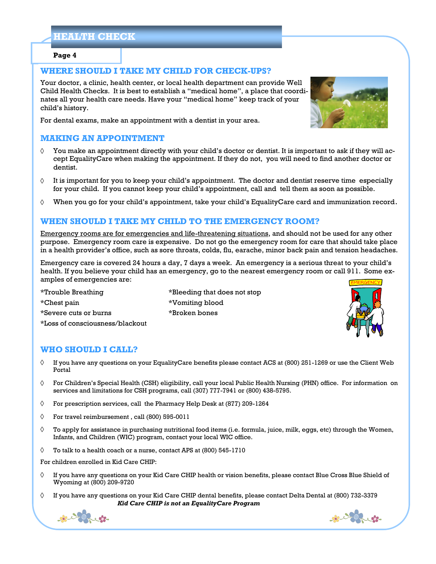## **HEALTH CHECK**

#### **Page 4**

## **WHERE SHOULD I TAKE MY CHILD FOR CHECK-UPS?**

Your doctor, a clinic, health center, or local health department can provide Well Child Health Checks. It is best to establish a "medical home", a place that coordinates all your health care needs. Have your "medical home" keep track of your child's history.

For dental exams, make an appointment with a dentist in your area.

## **MAKING AN APPOINTMENT**

- You make an appointment directly with your child's doctor or dentist. It is important to ask if they will ac-♦ cept EqualityCare when making the appointment. If they do not, you will need to find another doctor or dentist.
- $\Diamond$ It is important for you to keep your child's appointment. The doctor and dentist reserve time especially for your child. If you cannot keep your child's appointment, call and tell them as soon as possible.
- When you go for your child's appointment, take your child's EqualityCare card and immunization record. ♦

## **WHEN SHOULD I TAKE MY CHILD TO THE EMERGENCY ROOM?**

Emergency rooms are for emergencies and life-threatening situations, and should not be used for any other purpose. Emergency room care is expensive. Do not go the emergency room for care that should take place in a health provider's office, such as sore throats, colds, flu, earache, minor back pain and tension headaches.

Emergency care is covered 24 hours a day, 7 days a week. An emergency is a serious threat to your child's health. If you believe your child has an emergency, go to the nearest emergency room or call 911. Some examples of emergencies are:

\*Trouble Breathing \*Bleeding that does not stop \*Chest pain \*Vomiting blood \*Severe cuts or burns \*Broken bones \*Loss of consciousness/blackout

**WHO SHOULD I CALL?**

- ♦ If you have any questions on your EqualityCare benefits please contact ACS at (800) 251-1269 or use the Client Web Portal
- $\Diamond$ For Children's Special Health (CSH) eligibility, call your local Public Health Nursing (PHN) office. For information on services and limitations for CSH programs, call (307) 777-7941 or (800) 438-5795.
- For prescription services, call the Pharmacy Help Desk at (877) 209-1264 ♦
- ♦ For travel reimbursement , call (800) 595-0011
- ♦ To apply for assistance in purchasing nutritional food items (i.e. formula, juice, milk, eggs, etc) through the Women, Infants, and Children (WIC) program, contact your local WIC office.
- $\Diamond$ To talk to a health coach or a nurse, contact APS at (800) 545-1710

For children enrolled in Kid Care CHIP:

- ♦ If you have any questions on your Kid Care CHIP health or vision benefits, please contact Blue Cross Blue Shield of Wyoming at (800) 209-9720
- ♦ If you have any questions on your Kid Care CHIP dental benefits, please contact Delta Dental at (800) 732-3379 *Kid Care CHIP is not an EqualityCare Program*







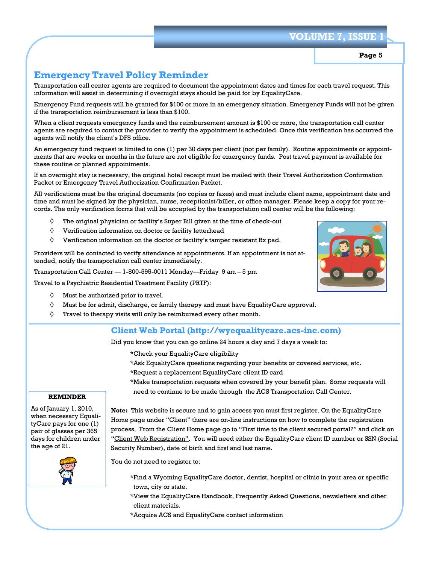## **VOLUME 7, ISS**

## **Page 5**

## **Emergency Travel Policy Reminder**

Transportation call center agents are required to document the appointment dates and times for each travel request. This information will assist in determining if overnight stays should be paid for by EqualityCare.

Emergency Fund requests will be granted for \$100 or more in an emergency situation. Emergency Funds will not be given if the transportation reimbursement is less than \$100.

When a client requests emergency funds and the reimbursement amount is \$100 or more, the transportation call center agents are required to contact the provider to verify the appointment is scheduled. Once this verification has occurred the agents will notify the client's DFS office.

An emergency fund request is limited to one (1) per 30 days per client (not per family). Routine appointments or appointments that are weeks or months in the future are not eligible for emergency funds. Post travel payment is available for these routine or planned appointments.

If an overnight stay is necessary, the original hotel receipt must be mailed with their Travel Authorization Confirmation Packet or Emergency Travel Authorization Confirmation Packet.

All verifications must be the original documents (no copies or faxes) and must include client name, appointment date and time and must be signed by the physician, nurse, receptionist/biller, or office manager. Please keep a copy for your records. The only verification forms that will be accepted by the transportation call center will be the following:

- ♦ The original physician or facility's Super Bill given at the time of check-out
- $\lozenge$ Verification information on doctor or facility letterhead
- $\Diamond$ Verification information on the doctor or facility's tamper resistant Rx pad.

Providers will be contacted to verify attendance at appointments. If an appointment is not attended, notify the transportation call center immediately.

Transportation Call Center — 1-800-595-0011 Monday—Friday 9 am – 5 pm

Travel to a Psychiatric Residential Treatment Facility (PRTF):



- $\Diamond$ Must be for admit, discharge, or family therapy and must have EqualityCare approval.
- $\Diamond$ Travel to therapy visits will only be reimbursed every other month.

## **Client Web Portal (http://wyequalitycare.acs-inc.com)**

Did you know that you can go online 24 hours a day and 7 days a week to:

\*Check your EqualityCare eligibility

- \*Ask EqualityCare questions regarding your benefits or covered services, etc.
- \*Request a replacement EqualityCare client ID card
- \*Make transportation requests when covered by your benefit plan. Some requests will need to continue to be made through the ACS Transportation Call Center.

#### **REMINDER**

As of January 1, 2010, when necessary EqualityCare pays for one (1) pair of glasses per 365 days for children under the age of 21.



**Note:** This website is secure and to gain access you must first register. On the EqualityCare Home page under "Client" there are on-line instructions on how to complete the registration process, From the Client Home page go to "First time to the client secured portal?" and click on "Client Web Registration". You will need either the EqualityCare client ID number or SSN (Social Security Number), date of birth and first and last name.

You do not need to register to:

- \*Find a Wyoming EqualityCare doctor, dentist, hospital or clinic in your area or specific town, city or state.
- \*View the EqualityCare Handbook, Frequently Asked Questions, newsletters and other client materials.
- \*Acquire ACS and EqualityCare contact information